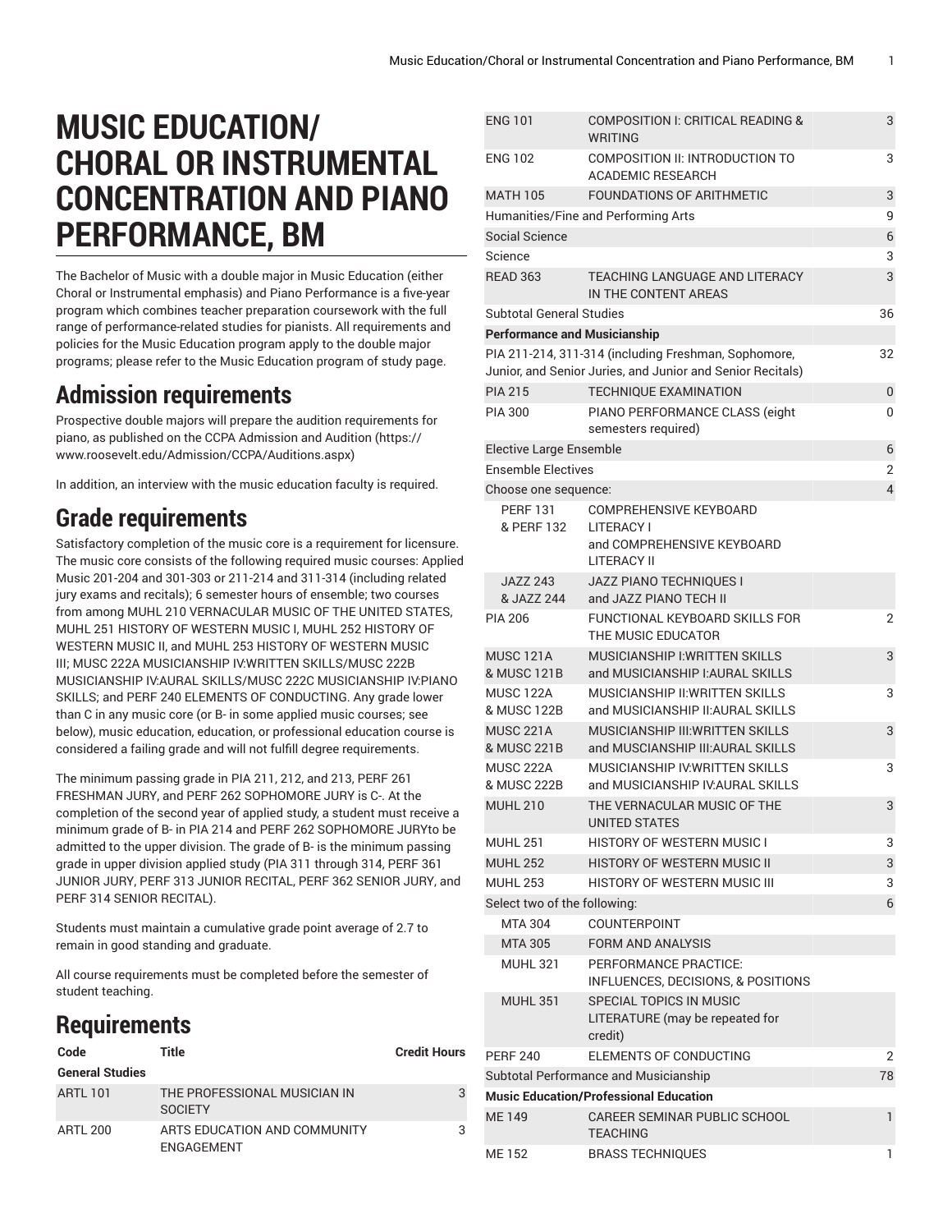# **MUSIC EDUCATION/ CHORAL OR INSTRUMENTAL CONCENTRATION AND PIANO PERFORMANCE, BM**

The Bachelor of Music with a double major in Music Education (either Choral or Instrumental emphasis) and Piano Performance is a five-year program which combines teacher preparation coursework with the full range of performance-related studies for pianists. All requirements and policies for the Music Education program apply to the double major programs; please refer to the Music Education program of study page.

### **Admission requirements**

Prospective double majors will prepare the audition requirements for piano, as published on the CCPA [Admission](https://www.roosevelt.edu/Admission/CCPA/Auditions.aspx) and Audition ([https://](https://www.roosevelt.edu/Admission/CCPA/Auditions.aspx) [www.roosevelt.edu/Admission/CCPA/Auditions.aspx\)](https://www.roosevelt.edu/Admission/CCPA/Auditions.aspx)

In addition, an interview with the music education faculty is required.

### **Grade requirements**

Satisfactory completion of the music core is a requirement for licensure. The music core consists of the following required music courses: Applied Music 201-204 and 301-303 or 211-214 and 311-314 (including related jury exams and recitals); 6 semester hours of ensemble; two courses from among [MUHL 210](/search/?P=MUHL%20210) VERNACULAR MUSIC OF THE UNITED STATES, [MUHL 251](/search/?P=MUHL%20251) HISTORY OF WESTERN MUSIC I, [MUHL 252](/search/?P=MUHL%20252) HISTORY OF WESTERN MUSIC II, and [MUHL 253](/search/?P=MUHL%20253) HISTORY OF WESTERN MUSIC III; [MUSC 222A](/search/?P=MUSC%20222A) MUSICIANSHIP IV:WRITTEN SKILLS[/MUSC 222B](/search/?P=MUSC%20222B) MUSICIANSHIP IV:AURAL SKILLS[/MUSC 222C](/search/?P=MUSC%20222C) MUSICIANSHIP IV:PIANO SKILLS; and [PERF 240](/search/?P=PERF%20240) ELEMENTS OF CONDUCTING. Any grade lower than C in any music core (or B- in some applied music courses; see below), music education, education, or professional education course is considered a failing grade and will not fulfill degree requirements.

The minimum passing grade in PIA 211, 212, and 213, PERF 261 FRESHMAN JURY, and PERF 262 SOPHOMORE JURY is C-. At the completion of the second year of applied study, a student must receive a minimum grade of B- in PIA 214 and PERF 262 SOPHOMORE JURYto be admitted to the upper division. The grade of B- is the minimum passing grade in upper division applied study (PIA 311 through 314, PERF 361 JUNIOR JURY, PERF 313 JUNIOR RECITAL, PERF 362 SENIOR JURY, and PERF 314 SENIOR RECITAL).

Students must maintain a cumulative grade point average of 2.7 to remain in good standing and graduate.

All course requirements must be completed before the semester of student teaching.

## **Requirements**

| Code                   | Title                                          | <b>Credit Hours</b> |
|------------------------|------------------------------------------------|---------------------|
| <b>General Studies</b> |                                                |                     |
| <b>ARTL 101</b>        | THE PROFESSIONAL MUSICIAN IN<br><b>SOCIETY</b> | 3                   |
| ARTL 200               | ARTS EDUCATION AND COMMUNITY<br>ENGAGEMENT     | 3                   |

| <b>ENG 101</b>                      | COMPOSITION I: CRITICAL READING &<br><b>WRITING</b>                                                                | 3              |
|-------------------------------------|--------------------------------------------------------------------------------------------------------------------|----------------|
| <b>ENG 102</b>                      | COMPOSITION II: INTRODUCTION TO<br><b>ACADEMIC RESEARCH</b>                                                        | 3              |
| <b>MATH 105</b>                     | <b>FOUNDATIONS OF ARITHMETIC</b>                                                                                   | 3              |
|                                     | Humanities/Fine and Performing Arts                                                                                | 9              |
| Social Science                      |                                                                                                                    | 6              |
| Science                             |                                                                                                                    | 3              |
| <b>READ 363</b>                     | <b>TEACHING LANGUAGE AND LITERACY</b><br>IN THE CONTENT AREAS                                                      | 3              |
| <b>Subtotal General Studies</b>     |                                                                                                                    | 36             |
| <b>Performance and Musicianship</b> |                                                                                                                    |                |
|                                     | PIA 211-214, 311-314 (including Freshman, Sophomore,<br>Junior, and Senior Juries, and Junior and Senior Recitals) | 32             |
| <b>PIA 215</b>                      | <b>TECHNIQUE EXAMINATION</b>                                                                                       | 0              |
| <b>PIA 300</b>                      | PIANO PERFORMANCE CLASS (eight<br>semesters required)                                                              | 0              |
| <b>Elective Large Ensemble</b>      |                                                                                                                    | 6              |
| <b>Ensemble Electives</b>           |                                                                                                                    | 2              |
| Choose one sequence:                |                                                                                                                    | $\overline{4}$ |
| <b>PERF 131</b><br>& PERF 132       | <b>COMPREHENSIVE KEYBOARD</b><br><b>I ITERACY I</b>                                                                |                |
|                                     | and COMPREHENSIVE KEYBOARD<br><b>LITERACY II</b>                                                                   |                |
| <b>JAZZ 243</b><br>& JAZZ 244       | JAZZ PIANO TECHNIQUES I<br>and JAZZ PIANO TECH II                                                                  |                |
| <b>PIA 206</b>                      | FUNCTIONAL KEYBOARD SKILLS FOR<br>THE MUSIC EDUCATOR                                                               | 2              |
| <b>MUSC 121A</b><br>& MUSC 121B     | <b>MUSICIANSHIP I: WRITTEN SKILLS</b><br>and MUSICIANSHIP I: AURAL SKILLS                                          | 3              |
| <b>MUSC 122A</b><br>& MUSC 122B     | <b>MUSICIANSHIP II: WRITTEN SKILLS</b><br>and MUSICIANSHIP II:AURAL SKILLS                                         | 3              |
| <b>MUSC 221A</b><br>& MUSC 221B     | <b>MUSICIANSHIP III: WRITTEN SKILLS</b><br>and MUSCIANSHIP III: AURAL SKILLS                                       | 3              |
| <b>MUSC 222A</b><br>& MUSC 222B     | MUSICIANSHIP IV: WRITTEN SKILLS<br>and MUSICIANSHIP IV: AURAL SKILLS                                               | 3              |
| <b>MUHL 210</b>                     | THE VERNACULAR MUSIC OF THE<br><b>UNITED STATES</b>                                                                | 3              |
| <b>MUHL 251</b>                     | <b>HISTORY OF WESTERN MUSIC I</b>                                                                                  | 3              |
| <b>MUHL 252</b>                     | <b>HISTORY OF WESTERN MUSIC II</b>                                                                                 | 3              |
| <b>MUHL 253</b>                     | <b>HISTORY OF WESTERN MUSIC III</b>                                                                                | 3              |
| Select two of the following:        |                                                                                                                    | 6              |
| MTA 304                             | <b>COUNTERPOINT</b>                                                                                                |                |
| <b>MTA 305</b>                      | <b>FORM AND ANALYSIS</b>                                                                                           |                |
| <b>MUHL 321</b>                     | PERFORMANCE PRACTICE:<br>INFLUENCES, DECISIONS, & POSITIONS                                                        |                |
| <b>MUHL 351</b>                     | <b>SPECIAL TOPICS IN MUSIC</b><br>LITERATURE (may be repeated for<br>credit)                                       |                |
| <b>PERF 240</b>                     | <b>ELEMENTS OF CONDUCTING</b>                                                                                      | 2              |
|                                     | Subtotal Performance and Musicianship                                                                              | 78             |
|                                     | <b>Music Education/Professional Education</b>                                                                      |                |
| <b>ME149</b>                        | <b>CAREER SEMINAR PUBLIC SCHOOL</b><br><b>TEACHING</b>                                                             | 1              |
| ME 152                              | <b>BRASS TECHNIQUES</b>                                                                                            | 1              |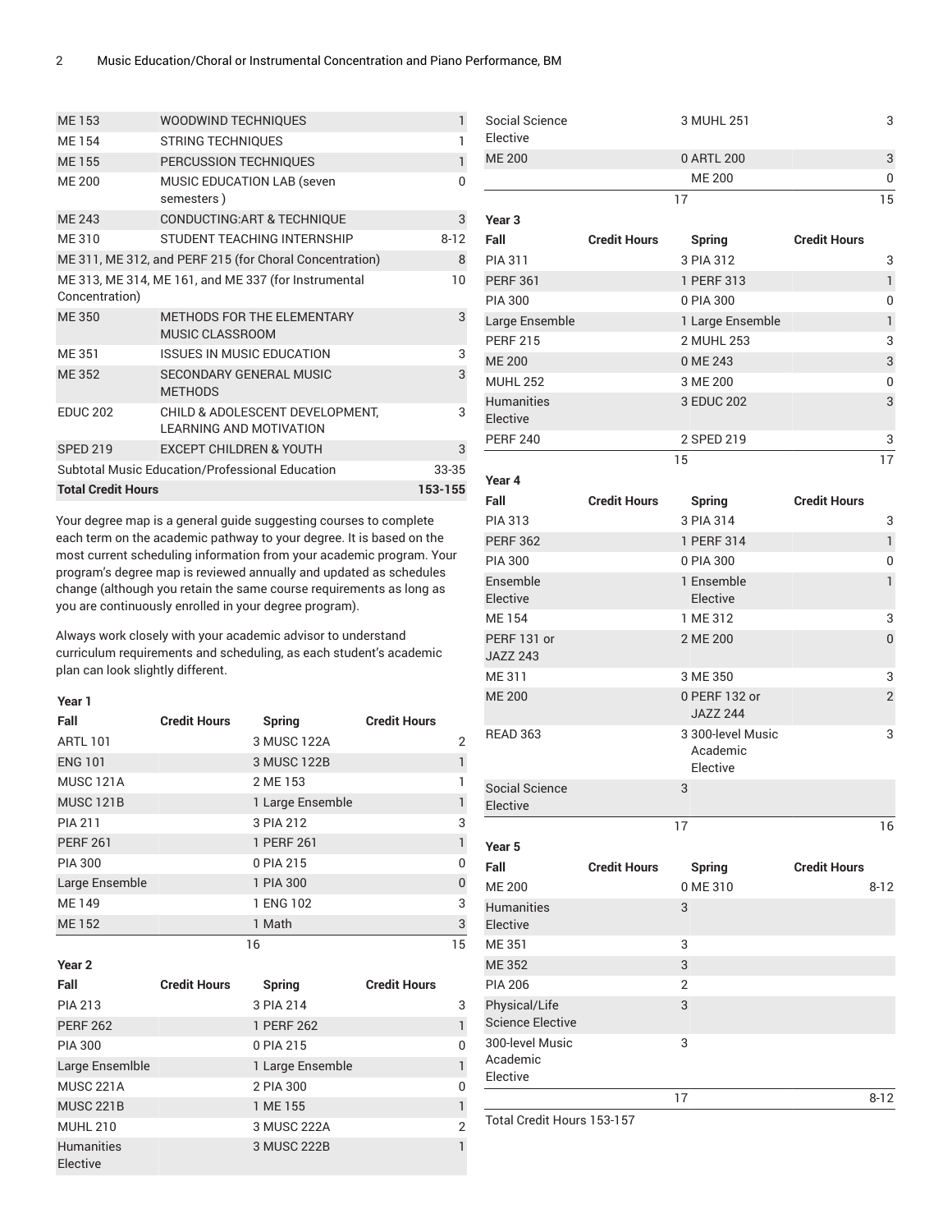| WOODWIND TECHNIQUES                                               | 1            |  |  |  |
|-------------------------------------------------------------------|--------------|--|--|--|
| <b>STRING TECHNIQUES</b>                                          | 1            |  |  |  |
| PERCUSSION TECHNIQUES                                             | 1            |  |  |  |
| <b>MUSIC EDUCATION LAB (seven</b><br>semesters)                   | <sup>0</sup> |  |  |  |
| <b>CONDUCTING:ART &amp; TECHNIQUE</b>                             | 3            |  |  |  |
| STUDENT TEACHING INTERNSHIP                                       | $8 - 12$     |  |  |  |
| ME 311, ME 312, and PERF 215 (for Choral Concentration)           | 8            |  |  |  |
| ME 313, ME 314, ME 161, and ME 337 (for Instrumental              | 10           |  |  |  |
|                                                                   |              |  |  |  |
| <b>METHODS FOR THE ELEMENTARY</b><br><b>MUSIC CLASSROOM</b>       | 3            |  |  |  |
| ISSUES IN MUSIC EDUCATION                                         | 3            |  |  |  |
| <b>SECONDARY GENERAL MUSIC</b><br><b>METHODS</b>                  | 3            |  |  |  |
| CHILD & ADOLESCENT DEVELOPMENT,<br><b>LEARNING AND MOTIVATION</b> | 3            |  |  |  |
| <b>EXCEPT CHILDREN &amp; YOUTH</b>                                | 3            |  |  |  |
| Subtotal Music Education/Professional Education                   |              |  |  |  |
| <b>Total Credit Hours</b>                                         |              |  |  |  |
|                                                                   |              |  |  |  |

Your degree map is a general guide suggesting courses to complete each term on the academic pathway to your degree. It is based on the most current scheduling information from your academic program. Your program's degree map is reviewed annually and updated as schedules change (although you retain the same course requirements as long as you are continuously enrolled in your degree program).

Always work closely with your academic advisor to understand curriculum requirements and scheduling, as each student's academic plan can look slightly different.

#### **Year 1**

| Fall             | <b>Credit Hours</b> | Spring           | <b>Credit Hours</b> |              |
|------------------|---------------------|------------------|---------------------|--------------|
| <b>ARTL 101</b>  |                     | 3 MUSC 122A      |                     | 2            |
| <b>ENG 101</b>   |                     | 3 MUSC 122B      |                     | 1            |
| <b>MUSC 121A</b> |                     | 2 ME 153         |                     | 1            |
| <b>MUSC 121B</b> |                     | 1 Large Ensemble |                     | 1            |
| <b>PIA 211</b>   |                     | 3 PIA 212        |                     | 3            |
| <b>PERF 261</b>  |                     | 1 PERF 261       |                     | 1            |
| <b>PIA 300</b>   |                     | 0 PIA 215        |                     | $\mathbf{0}$ |
| Large Ensemble   |                     | 1 PIA 300        |                     | $\Omega$     |
| ME 149           |                     | 1 ENG 102        |                     | 3            |
| ME 152           |                     | 1 Math           |                     | 3            |
|                  |                     | 16               |                     | 15           |
| Year 2           |                     |                  |                     |              |
| Fall             | <b>Credit Hours</b> | Spring           | <b>Credit Hours</b> |              |

| ган                           | Gitul Figuis | opning           | Gitul Figure |   |
|-------------------------------|--------------|------------------|--------------|---|
| <b>PIA 213</b>                |              | 3 PIA 214        |              | 3 |
| <b>PERF 262</b>               |              | 1 PERF 262       |              |   |
| <b>PIA 300</b>                |              | 0 PIA 215        |              | 0 |
| Large Ensemible               |              | 1 Large Ensemble |              |   |
| <b>MUSC 221A</b>              |              | 2 PIA 300        |              | O |
| <b>MUSC 221B</b>              |              | 1 ME 155         |              |   |
| <b>MUHL 210</b>               |              | 3 MUSC 222A      |              | 2 |
| <b>Humanities</b><br>Elective |              | 3 MUSC 222B      |              |   |

| Social Science<br>Elective | 3 MUHL 251 | 3  |
|----------------------------|------------|----|
| <b>ME 200</b>              | 0 ARTL 200 | 3  |
|                            | ME 200     | 0  |
|                            | 17         | 15 |

| Year <sub>3</sub>             |                     |                  |                     |    |
|-------------------------------|---------------------|------------------|---------------------|----|
| Fall                          | <b>Credit Hours</b> | <b>Spring</b>    | <b>Credit Hours</b> |    |
| <b>PIA 311</b>                |                     | 3 PIA 312        |                     | 3  |
| <b>PERF 361</b>               |                     | 1 PERF 313       |                     | 1  |
| <b>PIA 300</b>                |                     | 0 PIA 300        |                     | 0  |
| Large Ensemble                |                     | 1 Large Ensemble |                     | 1  |
| <b>PERF 215</b>               |                     | 2 MUHL 253       |                     | 3  |
| <b>ME 200</b>                 |                     | 0 ME 243         |                     | 3  |
| <b>MUHL 252</b>               |                     | 3 ME 200         |                     | 0  |
| <b>Humanities</b><br>Elective |                     | 3 EDUC 202       |                     | 3  |
| <b>PERF 240</b>               |                     | 2 SPED 219       |                     | 3  |
|                               |                     | 15               |                     | 17 |

| Year 4                                   |                     |                                           |                     |
|------------------------------------------|---------------------|-------------------------------------------|---------------------|
| Fall                                     | <b>Credit Hours</b> | <b>Spring</b>                             | <b>Credit Hours</b> |
| <b>PIA 313</b>                           |                     | 3 PIA 314                                 | 3                   |
| <b>PERF 362</b>                          |                     | 1 PERF 314                                | $\mathbf{1}$        |
| <b>PIA 300</b>                           |                     | 0 PIA 300                                 | $\overline{0}$      |
| Ensemble<br>Elective                     |                     | 1 Ensemble<br>Elective                    | $\mathbf{1}$        |
| <b>ME154</b>                             |                     | 1 ME 312                                  | 3                   |
| PERF 131 or<br><b>JAZZ 243</b>           |                     | 2 ME 200                                  | $\overline{0}$      |
| ME 311                                   |                     | 3 ME 350                                  | 3                   |
| <b>ME 200</b>                            |                     | 0 PERF 132 or<br><b>JAZZ 244</b>          | $\overline{2}$      |
| <b>READ 363</b>                          |                     | 3 300-level Music<br>Academic<br>Elective | 3                   |
| <b>Social Science</b><br>Elective        |                     | 3                                         |                     |
|                                          |                     | 17                                        | 16                  |
| Year <sub>5</sub>                        |                     |                                           |                     |
| Fall                                     | <b>Credit Hours</b> | <b>Spring</b>                             | <b>Credit Hours</b> |
| <b>ME 200</b>                            |                     | 0 ME 310                                  | $8 - 12$            |
| <b>Humanities</b><br>Elective            |                     | 3                                         |                     |
| <b>ME 351</b>                            |                     | 3                                         |                     |
| <b>ME 352</b>                            |                     | 3                                         |                     |
| <b>PIA 206</b>                           |                     | $\overline{2}$                            |                     |
| Physical/Life<br><b>Science Elective</b> |                     | 3                                         |                     |
| 300-level Music<br>Academic<br>Elective  |                     | 3                                         |                     |
|                                          |                     | 17                                        | $8 - 12$            |

Total Credit Hours 153-157